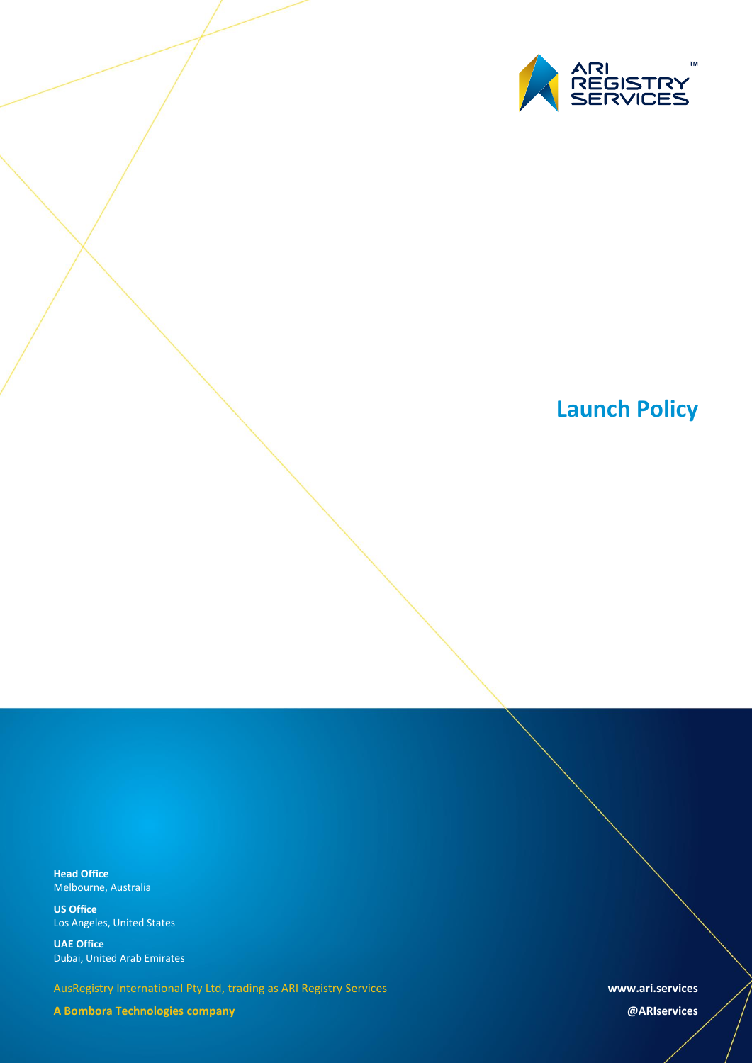

**Head Office** Melbourne, Australia

**US Office** Los Angeles, United States

**UAE Office** Dubai, United Arab Emirates

AusRegistry International Pty Ltd, trading as ARI Registry Services

**A Bombora Technologies company**

**www.ari.services**

**@ARIservices**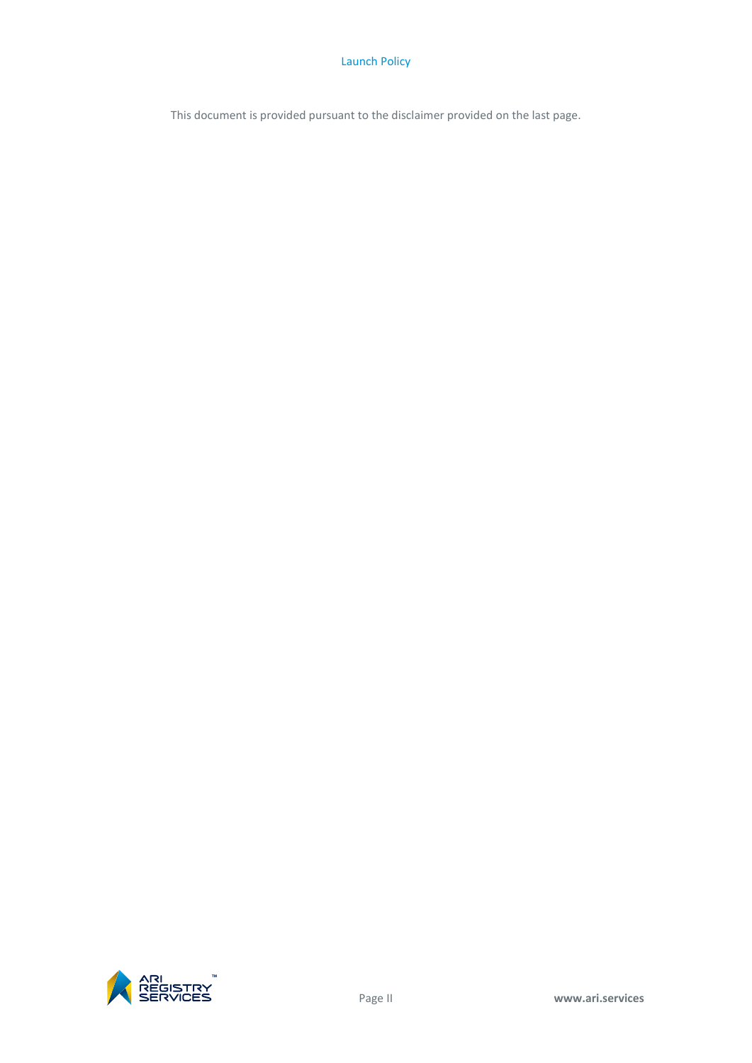This document is provided pursuant to the disclaimer provided on the last page.

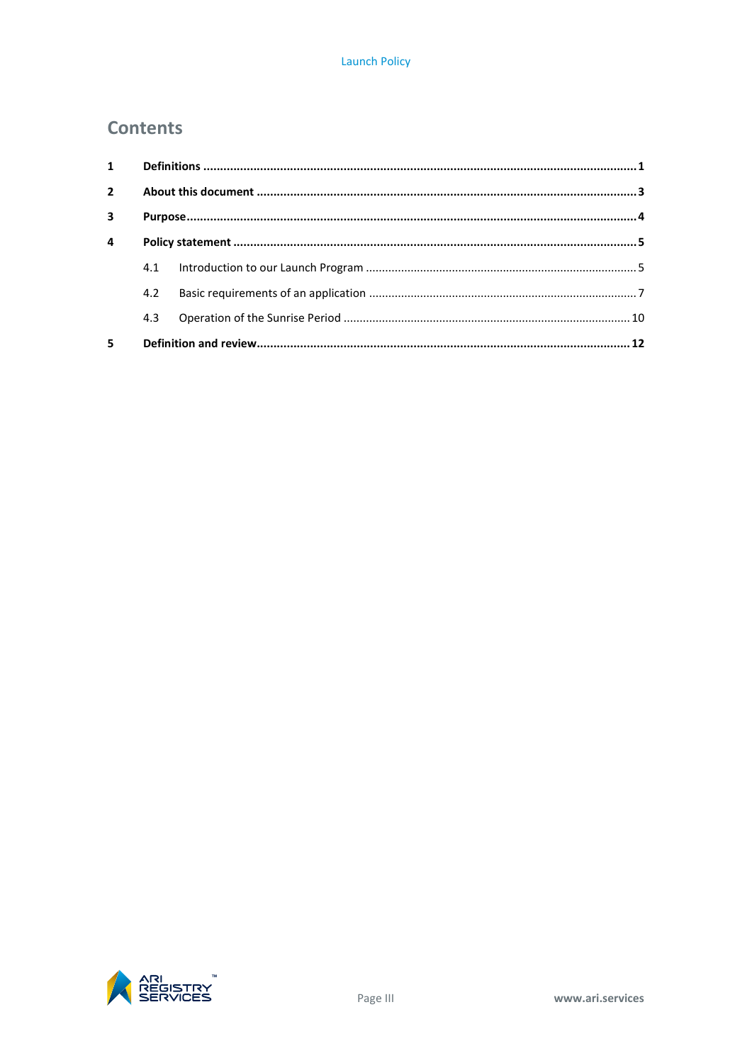# **Contents**

| $\mathbf{1}$            |     |  |  |  |  |
|-------------------------|-----|--|--|--|--|
| $\overline{2}$          |     |  |  |  |  |
| $\overline{\mathbf{3}}$ |     |  |  |  |  |
| $\overline{a}$          |     |  |  |  |  |
|                         | 4.1 |  |  |  |  |
|                         | 4.2 |  |  |  |  |
|                         | 4.3 |  |  |  |  |
| 5                       |     |  |  |  |  |

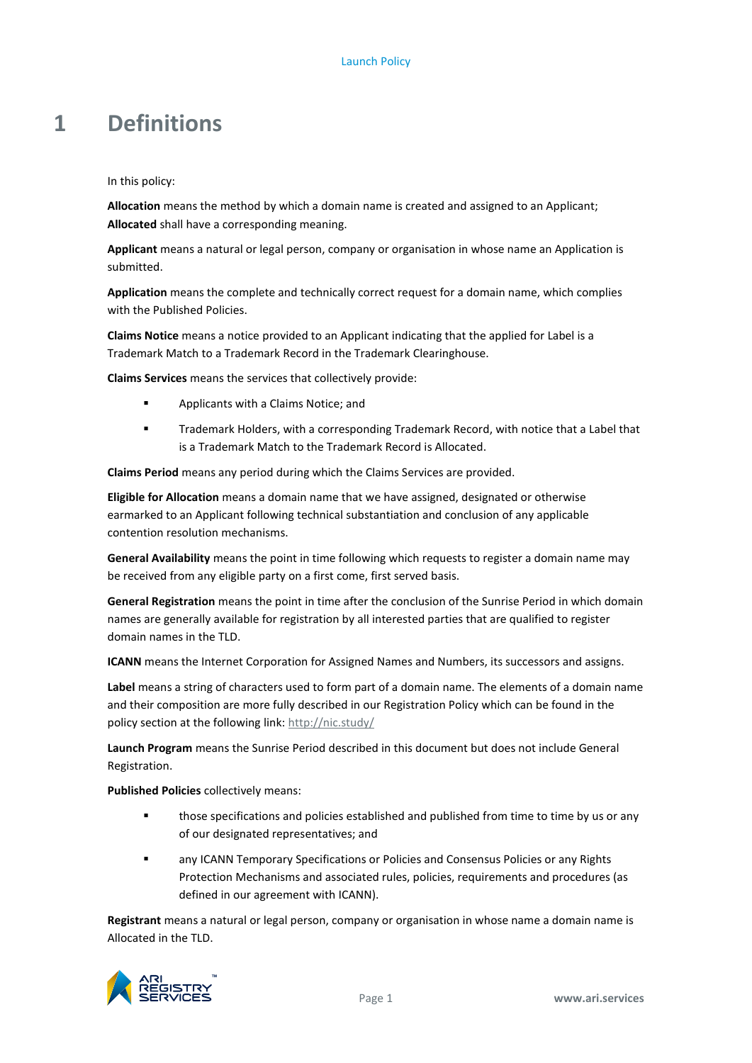# <span id="page-4-0"></span>**1 Definitions**

In this policy:

**Allocation** means the method by which a domain name is created and assigned to an Applicant; **Allocated** shall have a corresponding meaning.

**Applicant** means a natural or legal person, company or organisation in whose name an Application is submitted.

**Application** means the complete and technically correct request for a domain name, which complies with the Published Policies.

**Claims Notice** means a notice provided to an Applicant indicating that the applied for Label is a Trademark Match to a Trademark Record in the Trademark Clearinghouse.

**Claims Services** means the services that collectively provide:

- **Applicants with a Claims Notice; and**
- Trademark Holders, with a corresponding Trademark Record, with notice that a Label that is a Trademark Match to the Trademark Record is Allocated.

**Claims Period** means any period during which the Claims Services are provided.

**Eligible for Allocation** means a domain name that we have assigned, designated or otherwise earmarked to an Applicant following technical substantiation and conclusion of any applicable contention resolution mechanisms.

**General Availability** means the point in time following which requests to register a domain name may be received from any eligible party on a first come, first served basis.

**General Registration** means the point in time after the conclusion of the Sunrise Period in which domain names are generally available for registration by all interested parties that are qualified to register domain names in the TLD.

**ICANN** means the Internet Corporation for Assigned Names and Numbers, its successors and assigns.

**Label** means a string of characters used to form part of a domain name. The elements of a domain name and their composition are more fully described in our Registration Policy which can be found in the policy section at the following link:<http://nic.study/>

**Launch Program** means the Sunrise Period described in this document but does not include General Registration.

**Published Policies** collectively means:

- **those specifications and policies established and published from time to time by us or any** of our designated representatives; and
- **EXECT ANY ICANN Temporary Specifications or Policies and Consensus Policies or any Rights** Protection Mechanisms and associated rules, policies, requirements and procedures (as defined in our agreement with ICANN).

**Registrant** means a natural or legal person, company or organisation in whose name a domain name is Allocated in the TLD.

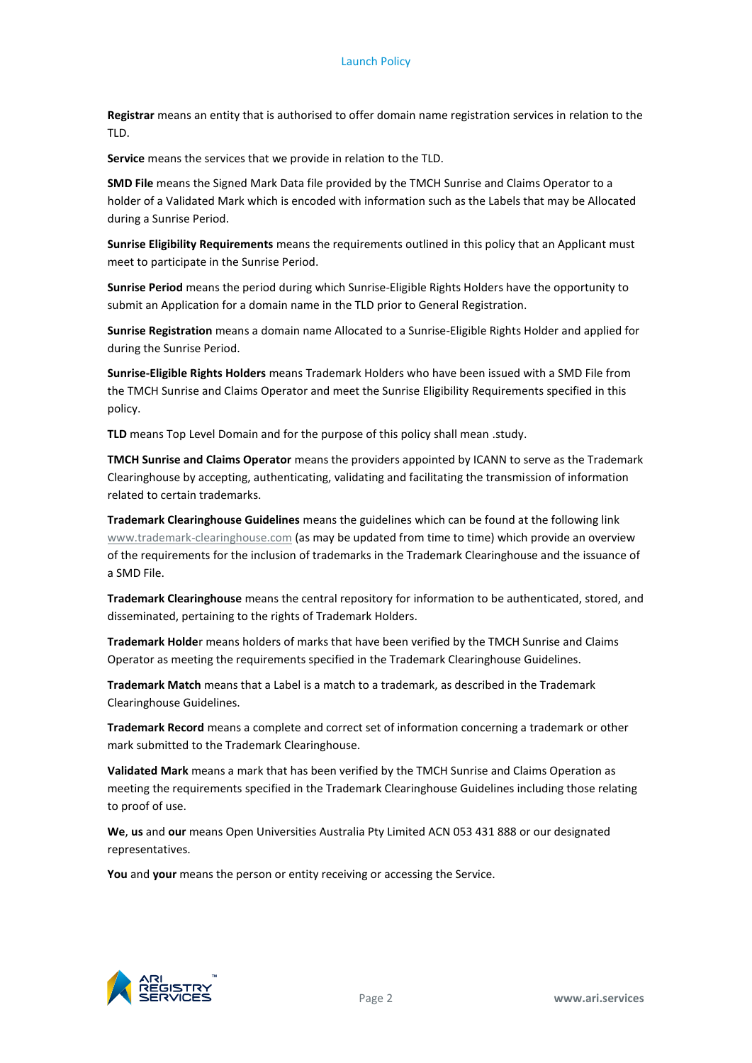**Registrar** means an entity that is authorised to offer domain name registration services in relation to the TLD.

**Service** means the services that we provide in relation to the TLD.

**SMD File** means the Signed Mark Data file provided by the TMCH Sunrise and Claims Operator to a holder of a Validated Mark which is encoded with information such as the Labels that may be Allocated during a Sunrise Period.

**Sunrise Eligibility Requirements** means the requirements outlined in this policy that an Applicant must meet to participate in the Sunrise Period.

**Sunrise Period** means the period during which Sunrise-Eligible Rights Holders have the opportunity to submit an Application for a domain name in the TLD prior to General Registration.

**Sunrise Registration** means a domain name Allocated to a Sunrise-Eligible Rights Holder and applied for during the Sunrise Period.

**Sunrise-Eligible Rights Holders** means Trademark Holders who have been issued with a SMD File from the TMCH Sunrise and Claims Operator and meet the Sunrise Eligibility Requirements specified in this policy.

**TLD** means Top Level Domain and for the purpose of this policy shall mean .study.

**TMCH Sunrise and Claims Operator** means the providers appointed by ICANN to serve as the Trademark Clearinghouse by accepting, authenticating, validating and facilitating the transmission of information related to certain trademarks.

**Trademark Clearinghouse Guidelines** means the guidelines which can be found at the following link [www.trademark-clearinghouse.com](http://www.trademark-clearinghouse.com/) (as may be updated from time to time) which provide an overview of the requirements for the inclusion of trademarks in the Trademark Clearinghouse and the issuance of a SMD File.

**Trademark Clearinghouse** means the central repository for information to be authenticated, stored, and disseminated, pertaining to the rights of Trademark Holders.

**Trademark Holde**r means holders of marks that have been verified by the TMCH Sunrise and Claims Operator as meeting the requirements specified in the Trademark Clearinghouse Guidelines.

**Trademark Match** means that a Label is a match to a trademark, as described in the Trademark Clearinghouse Guidelines.

**Trademark Record** means a complete and correct set of information concerning a trademark or other mark submitted to the Trademark Clearinghouse.

**Validated Mark** means a mark that has been verified by the TMCH Sunrise and Claims Operation as meeting the requirements specified in the Trademark Clearinghouse Guidelines including those relating to proof of use.

**We**, **us** and **our** means Open Universities Australia Pty Limited ACN 053 431 888 or our designated representatives.

**You** and **your** means the person or entity receiving or accessing the Service.

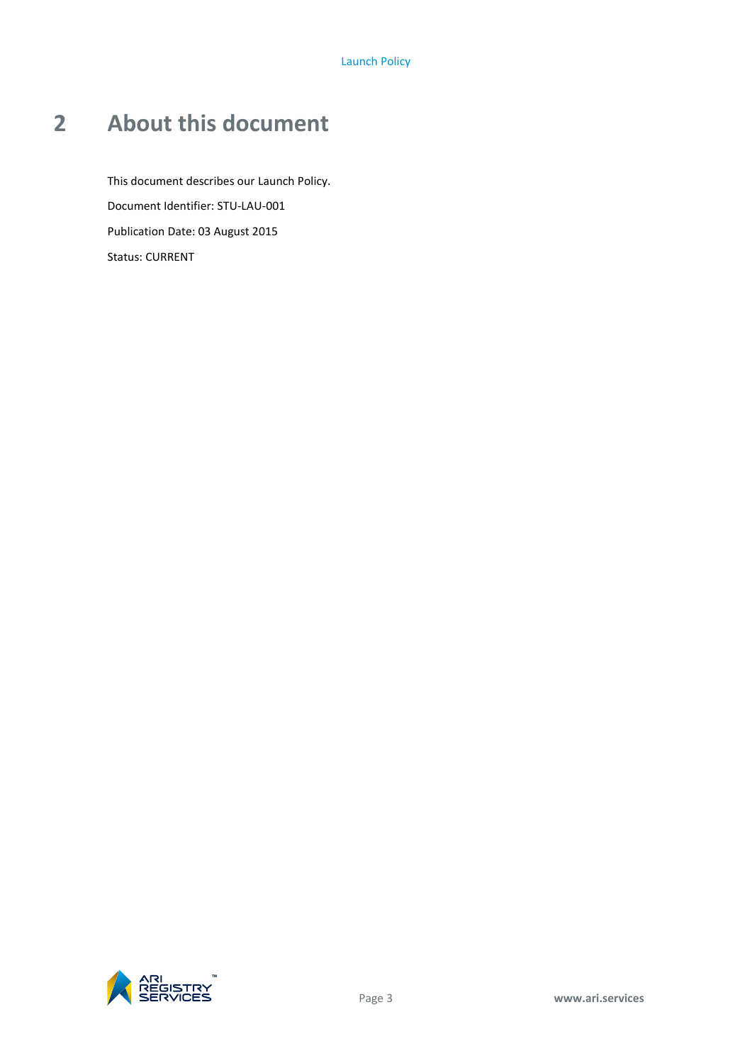# <span id="page-6-0"></span>**2 About this document**

This document describes our Launch Policy. Document Identifier: STU-LAU-001 Publication Date: 03 August 2015 Status: CURRENT

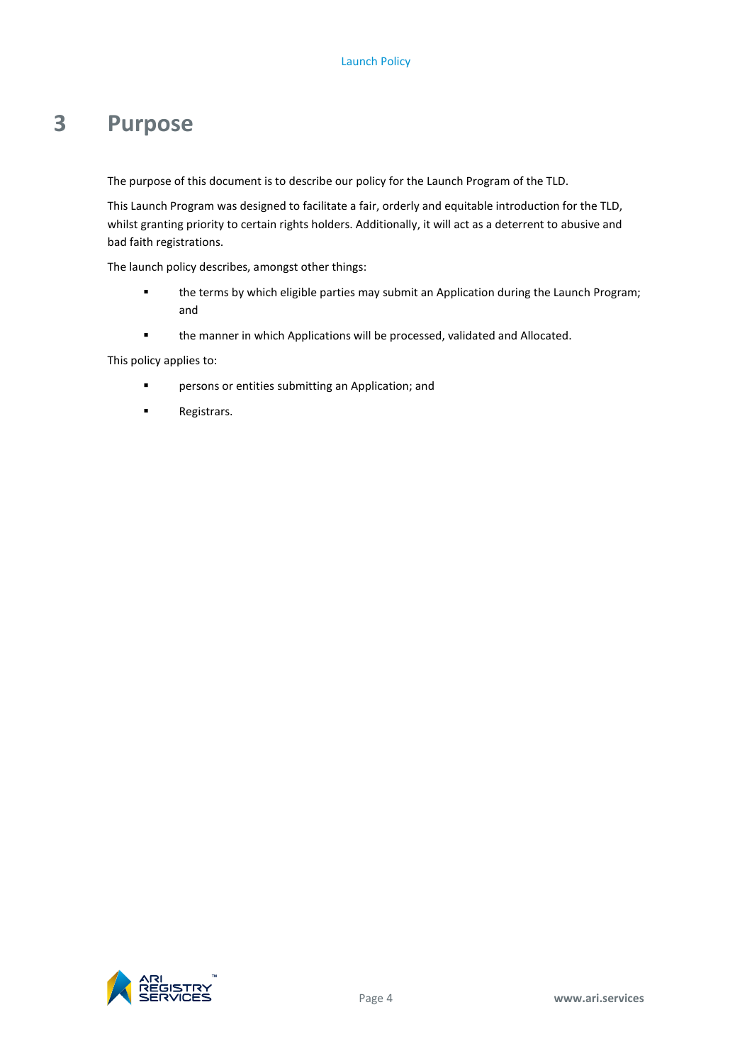# <span id="page-7-0"></span>**3 Purpose**

The purpose of this document is to describe our policy for the Launch Program of the TLD.

This Launch Program was designed to facilitate a fair, orderly and equitable introduction for the TLD, whilst granting priority to certain rights holders. Additionally, it will act as a deterrent to abusive and bad faith registrations.

The launch policy describes, amongst other things:

- the terms by which eligible parties may submit an Application during the Launch Program; and
- the manner in which Applications will be processed, validated and Allocated.

This policy applies to:

- **Philter-** persons or entities submitting an Application; and
- **Registrars.**

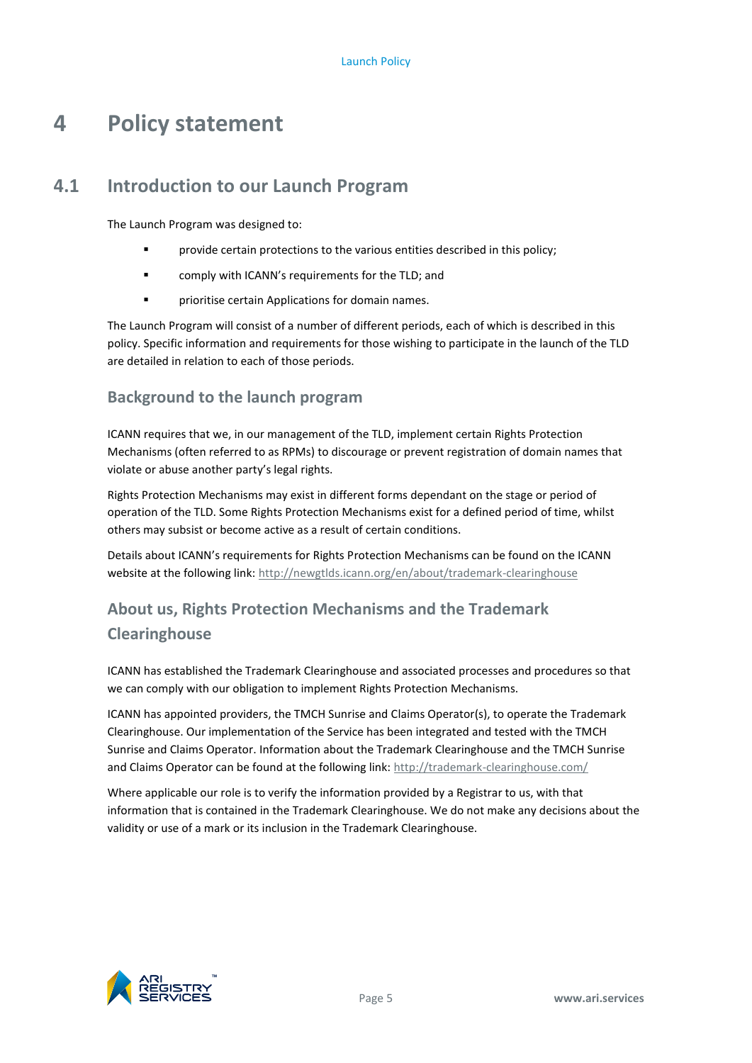# <span id="page-8-0"></span>**4 Policy statement**

# **4.1 Introduction to our Launch Program**

<span id="page-8-1"></span>The Launch Program was designed to:

- **F** provide certain protections to the various entities described in this policy;
- **Example 1** comply with ICANN's requirements for the TLD; and
- **Phinciple 3** prioritise certain Applications for domain names.

The Launch Program will consist of a number of different periods, each of which is described in this policy. Specific information and requirements for those wishing to participate in the launch of the TLD are detailed in relation to each of those periods.

### **Background to the launch program**

ICANN requires that we, in our management of the TLD, implement certain Rights Protection Mechanisms (often referred to as RPMs) to discourage or prevent registration of domain names that violate or abuse another party's legal rights.

Rights Protection Mechanisms may exist in different forms dependant on the stage or period of operation of the TLD. Some Rights Protection Mechanisms exist for a defined period of time, whilst others may subsist or become active as a result of certain conditions.

Details about ICANN's requirements for Rights Protection Mechanisms can be found on the ICANN website at the following link[: http://newgtlds.icann.org/en/about/trademark-clearinghouse](http://newgtlds.icann.org/en/about/trademark-clearinghouse)

# **About us, Rights Protection Mechanisms and the Trademark Clearinghouse**

ICANN has established the Trademark Clearinghouse and associated processes and procedures so that we can comply with our obligation to implement Rights Protection Mechanisms.

ICANN has appointed providers, the TMCH Sunrise and Claims Operator(s), to operate the Trademark Clearinghouse. Our implementation of the Service has been integrated and tested with the TMCH Sunrise and Claims Operator. Information about the Trademark Clearinghouse and the TMCH Sunrise and Claims Operator can be found at the following link:<http://trademark-clearinghouse.com/>

Where applicable our role is to verify the information provided by a Registrar to us, with that information that is contained in the Trademark Clearinghouse. We do not make any decisions about the validity or use of a mark or its inclusion in the Trademark Clearinghouse.

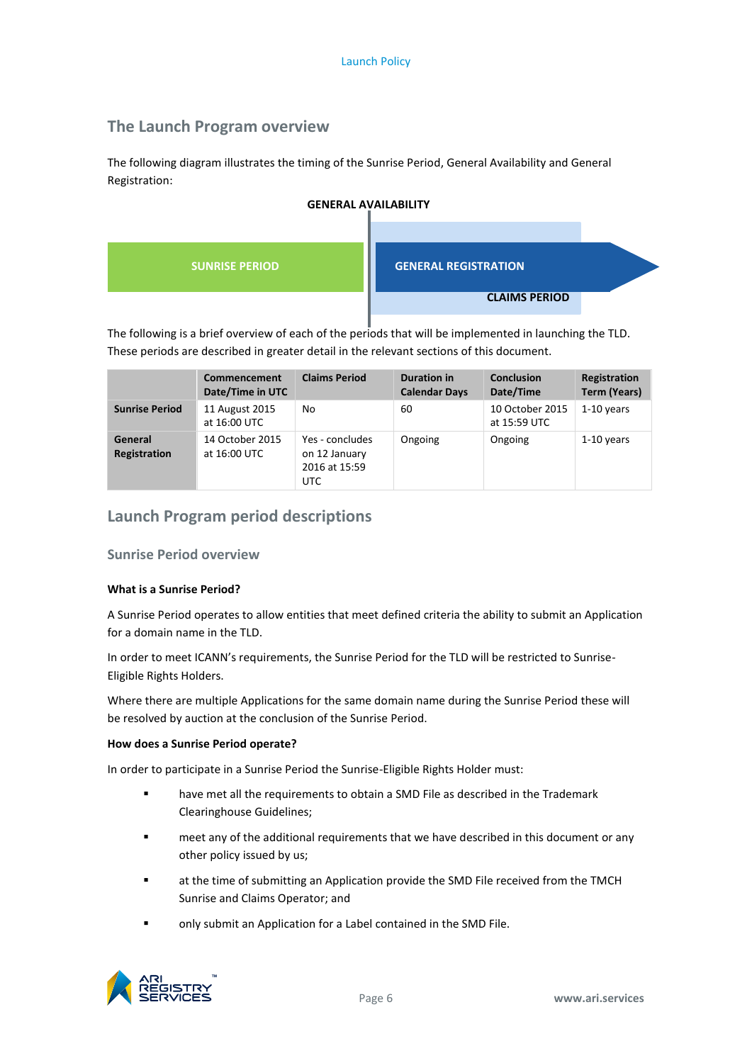# **The Launch Program overview**

The following diagram illustrates the timing of the Sunrise Period, General Availability and General Registration:



# **GENERAL AVAILABILITY**

The following is a brief overview of each of the periods that will be implemented in launching the TLD. These periods are described in greater detail in the relevant sections of this document.

|                                | Commencement<br>Date/Time in UTC | <b>Claims Period</b>                                      | Duration in<br><b>Calendar Days</b> | <b>Conclusion</b><br>Date/Time  | Registration<br><b>Term (Years)</b> |
|--------------------------------|----------------------------------|-----------------------------------------------------------|-------------------------------------|---------------------------------|-------------------------------------|
| <b>Sunrise Period</b>          | 11 August 2015<br>at 16:00 UTC   | No                                                        | 60                                  | 10 October 2015<br>at 15:59 UTC | $1-10$ years                        |
| General<br><b>Registration</b> | 14 October 2015<br>at 16:00 UTC  | Yes - concludes<br>on 12 January<br>2016 at 15:59<br>UTC. | Ongoing                             | Ongoing                         | $1-10$ years                        |

### **Launch Program period descriptions**

#### **Sunrise Period overview**

#### **What is a Sunrise Period?**

A Sunrise Period operates to allow entities that meet defined criteria the ability to submit an Application for a domain name in the TLD.

In order to meet ICANN's requirements, the Sunrise Period for the TLD will be restricted to Sunrise-Eligible Rights Holders.

Where there are multiple Applications for the same domain name during the Sunrise Period these will be resolved by auction at the conclusion of the Sunrise Period.

#### **How does a Sunrise Period operate?**

In order to participate in a Sunrise Period the Sunrise-Eligible Rights Holder must:

- have met all the requirements to obtain a SMD File as described in the Trademark Clearinghouse Guidelines;
- meet any of the additional requirements that we have described in this document or any other policy issued by us;
- at the time of submitting an Application provide the SMD File received from the TMCH Sunrise and Claims Operator; and
- only submit an Application for a Label contained in the SMD File.

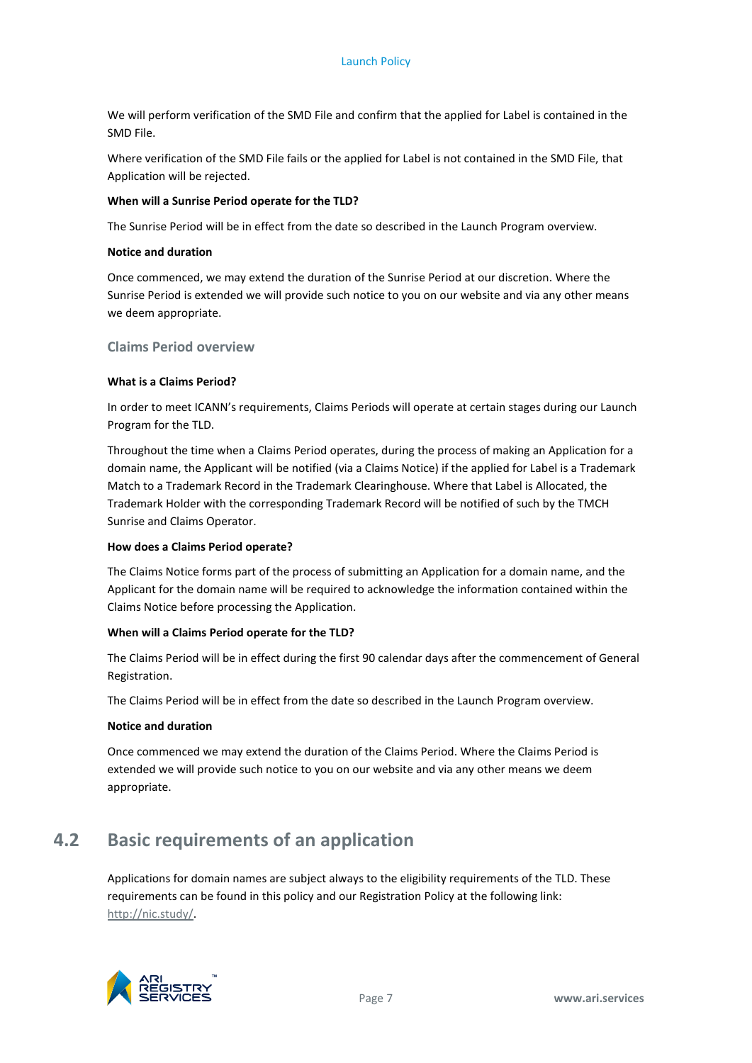We will perform verification of the SMD File and confirm that the applied for Label is contained in the SMD File.

Where verification of the SMD File fails or the applied for Label is not contained in the SMD File, that Application will be rejected.

#### **When will a Sunrise Period operate for the TLD?**

The Sunrise Period will be in effect from the date so described in the Launch Program overview.

#### **Notice and duration**

Once commenced, we may extend the duration of the Sunrise Period at our discretion. Where the Sunrise Period is extended we will provide such notice to you on our website and via any other means we deem appropriate.

#### **Claims Period overview**

#### **What is a Claims Period?**

In order to meet ICANN's requirements, Claims Periods will operate at certain stages during our Launch Program for the TLD.

Throughout the time when a Claims Period operates, during the process of making an Application for a domain name, the Applicant will be notified (via a Claims Notice) if the applied for Label is a Trademark Match to a Trademark Record in the Trademark Clearinghouse. Where that Label is Allocated, the Trademark Holder with the corresponding Trademark Record will be notified of such by the TMCH Sunrise and Claims Operator.

#### **How does a Claims Period operate?**

The Claims Notice forms part of the process of submitting an Application for a domain name, and the Applicant for the domain name will be required to acknowledge the information contained within the Claims Notice before processing the Application.

#### **When will a Claims Period operate for the TLD?**

The Claims Period will be in effect during the first 90 calendar days after the commencement of General Registration.

The Claims Period will be in effect from the date so described in the Launch Program overview.

#### **Notice and duration**

Once commenced we may extend the duration of the Claims Period. Where the Claims Period is extended we will provide such notice to you on our website and via any other means we deem appropriate.

# <span id="page-10-0"></span>**4.2 Basic requirements of an application**

Applications for domain names are subject always to the eligibility requirements of the TLD. These requirements can be found in this policy and our Registration Policy at the following link: [http://nic.study/.](http://nic.study/)

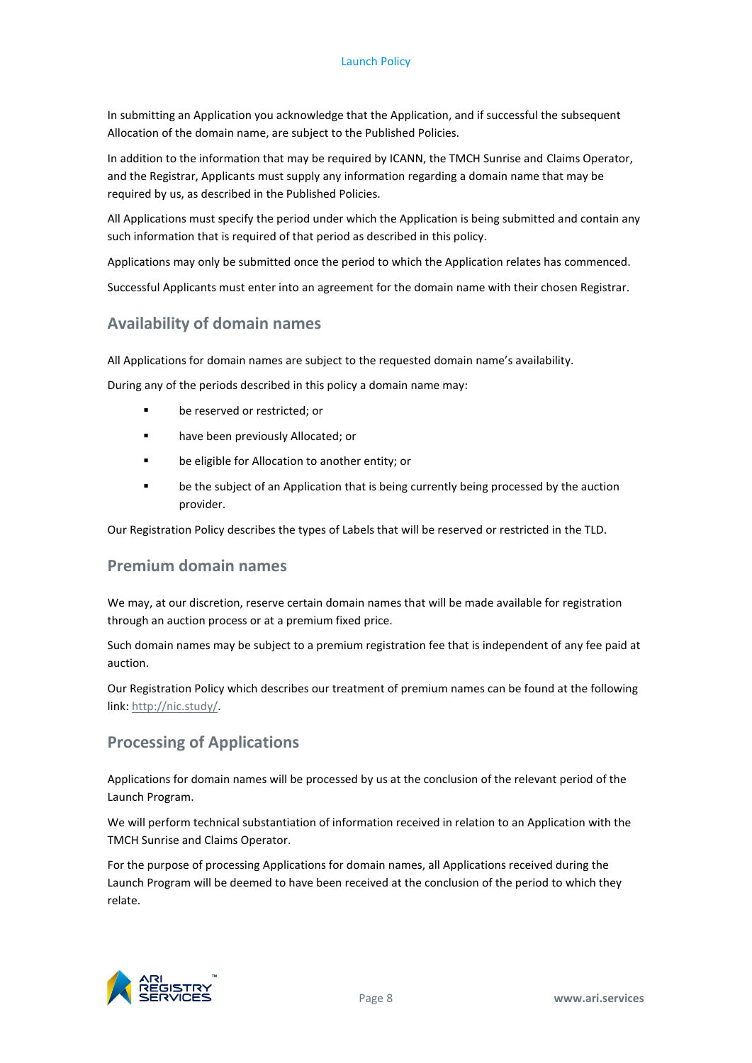In submitting an Application you acknowledge that the Application, and if successful the subsequent Allocation of the domain name, are subject to the Published Policies.

In addition to the information that may be required by ICANN, the TMCH Sunrise and Claims Operator, and the Registrar, Applicants must supply any information regarding a domain name that may be required by us, as described in the Published Policies.

All Applications must specify the period under which the Application is being submitted and contain any such information that is required of that period as described in this policy.

Applications may only be submitted once the period to which the Application relates has commenced.

Successful Applicants must enter into an agreement for the domain name with their chosen Registrar.

### **Availability of domain names**

All Applications for domain names are subject to the requested domain name's availability.

During any of the periods described in this policy a domain name may:

- **be reserved or restricted: or**
- **have been previously Allocated; or**
- be eligible for Allocation to another entity; or
- **•** be the subject of an Application that is being currently being processed by the auction provider.

Our Registration Policy describes the types of Labels that will be reserved or restricted in the TLD.

### **Premium domain names**

We may, at our discretion, reserve certain domain names that will be made available for registration through an auction process or at a premium fixed price.

Such domain names may be subject to a premium registration fee that is independent of any fee paid at auction.

Our Registration Policy which describes our treatment of premium names can be found at the following link[: http://nic.study/.](http://nic.study/)

### **Processing of Applications**

Applications for domain names will be processed by us at the conclusion of the relevant period of the Launch Program.

We will perform technical substantiation of information received in relation to an Application with the TMCH Sunrise and Claims Operator.

For the purpose of processing Applications for domain names, all Applications received during the Launch Program will be deemed to have been received at the conclusion of the period to which they relate.

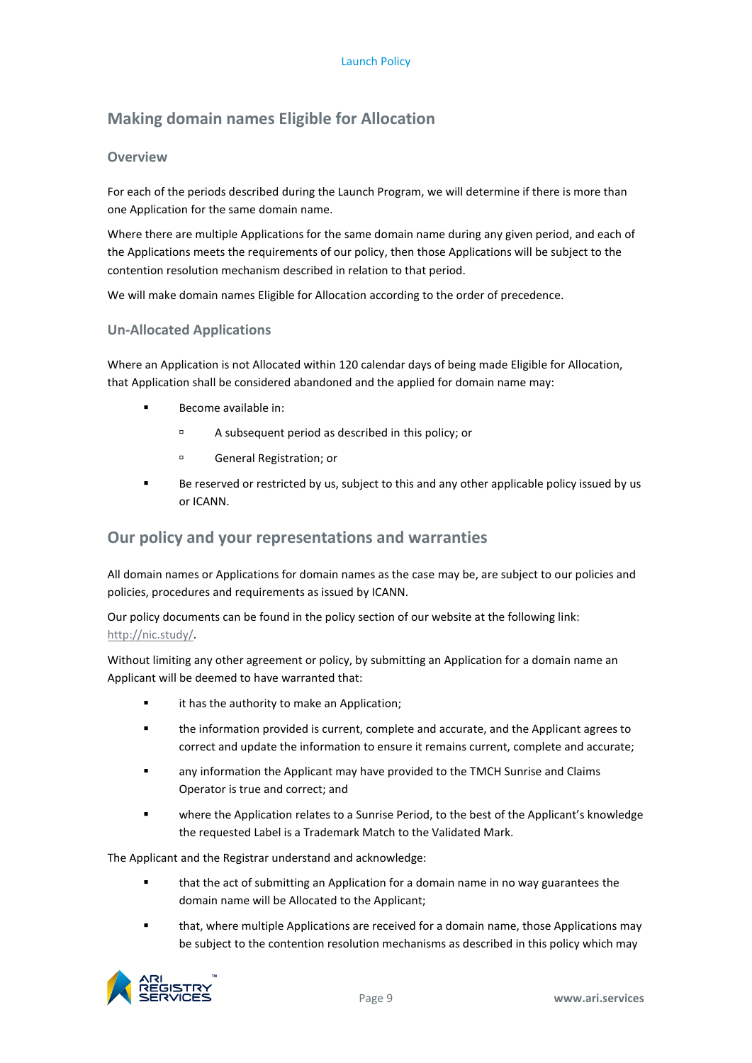# **Making domain names Eligible for Allocation**

#### **Overview**

For each of the periods described during the Launch Program, we will determine if there is more than one Application for the same domain name.

Where there are multiple Applications for the same domain name during any given period, and each of the Applications meets the requirements of our policy, then those Applications will be subject to the contention resolution mechanism described in relation to that period.

We will make domain names Eligible for Allocation according to the order of precedence.

#### **Un-Allocated Applications**

Where an Application is not Allocated within 120 calendar days of being made Eligible for Allocation, that Application shall be considered abandoned and the applied for domain name may:

- **Become available in:** 
	- A subsequent period as described in this policy; or
	- General Registration; or
- Be reserved or restricted by us, subject to this and any other applicable policy issued by us or ICANN.

# **Our policy and your representations and warranties**

All domain names or Applications for domain names as the case may be, are subject to our policies and policies, procedures and requirements as issued by ICANN.

Our policy documents can be found in the policy section of our website at the following link: [http://nic.study/.](http://nic.study/)

Without limiting any other agreement or policy, by submitting an Application for a domain name an Applicant will be deemed to have warranted that:

- **Example 1** it has the authority to make an Application;
- the information provided is current, complete and accurate, and the Applicant agrees to correct and update the information to ensure it remains current, complete and accurate;
- any information the Applicant may have provided to the TMCH Sunrise and Claims Operator is true and correct; and
- where the Application relates to a Sunrise Period, to the best of the Applicant's knowledge the requested Label is a Trademark Match to the Validated Mark.

The Applicant and the Registrar understand and acknowledge:

- that the act of submitting an Application for a domain name in no way guarantees the domain name will be Allocated to the Applicant;
- that, where multiple Applications are received for a domain name, those Applications may be subject to the contention resolution mechanisms as described in this policy which may

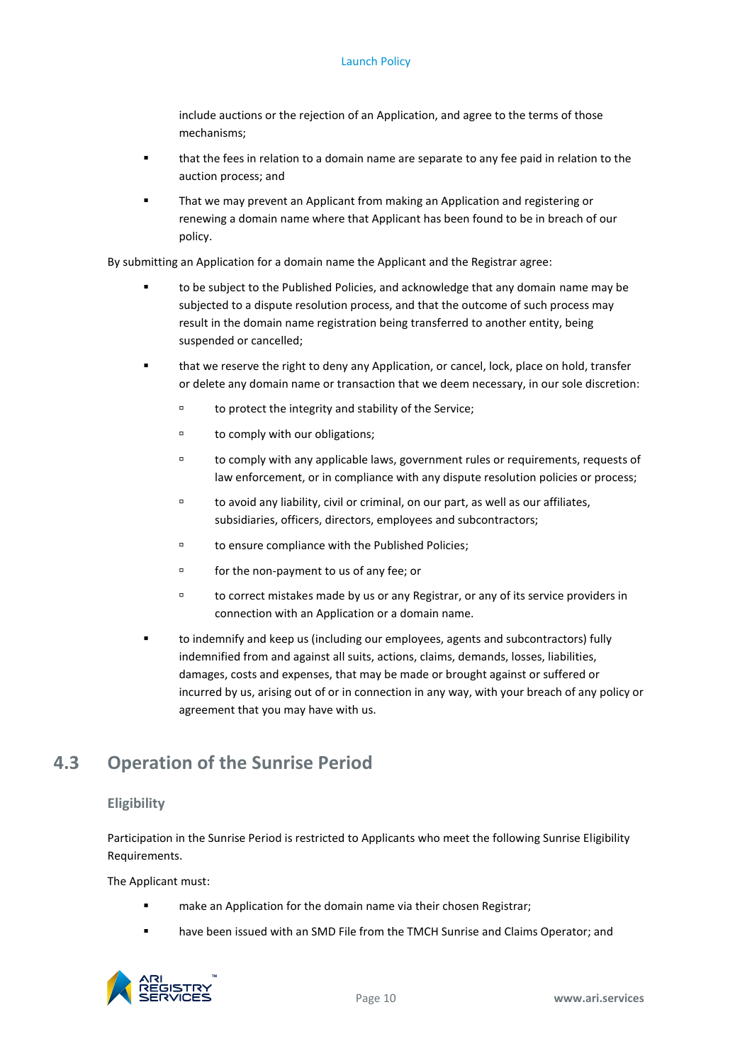include auctions or the rejection of an Application, and agree to the terms of those mechanisms;

- that the fees in relation to a domain name are separate to any fee paid in relation to the auction process; and
- That we may prevent an Applicant from making an Application and registering or renewing a domain name where that Applicant has been found to be in breach of our policy.

By submitting an Application for a domain name the Applicant and the Registrar agree:

- to be subject to the Published Policies, and acknowledge that any domain name may be subjected to a dispute resolution process, and that the outcome of such process may result in the domain name registration being transferred to another entity, being suspended or cancelled;
- that we reserve the right to deny any Application, or cancel, lock, place on hold, transfer or delete any domain name or transaction that we deem necessary, in our sole discretion:
	- to protect the integrity and stability of the Service;
	- to comply with our obligations;
	- to comply with any applicable laws, government rules or requirements, requests of law enforcement, or in compliance with any dispute resolution policies or process;
	- to avoid any liability, civil or criminal, on our part, as well as our affiliates, subsidiaries, officers, directors, employees and subcontractors;
	- to ensure compliance with the Published Policies;
	- for the non-payment to us of any fee; or
	- to correct mistakes made by us or any Registrar, or any of its service providers in connection with an Application or a domain name.
- to indemnify and keep us (including our employees, agents and subcontractors) fully indemnified from and against all suits, actions, claims, demands, losses, liabilities, damages, costs and expenses, that may be made or brought against or suffered or incurred by us, arising out of or in connection in any way, with your breach of any policy or agreement that you may have with us.

# <span id="page-13-0"></span>**4.3 Operation of the Sunrise Period**

#### **Eligibility**

Participation in the Sunrise Period is restricted to Applicants who meet the following Sunrise Eligibility Requirements.

The Applicant must:

- **EXECT** make an Application for the domain name via their chosen Registrar;
- **F** have been issued with an SMD File from the TMCH Sunrise and Claims Operator; and

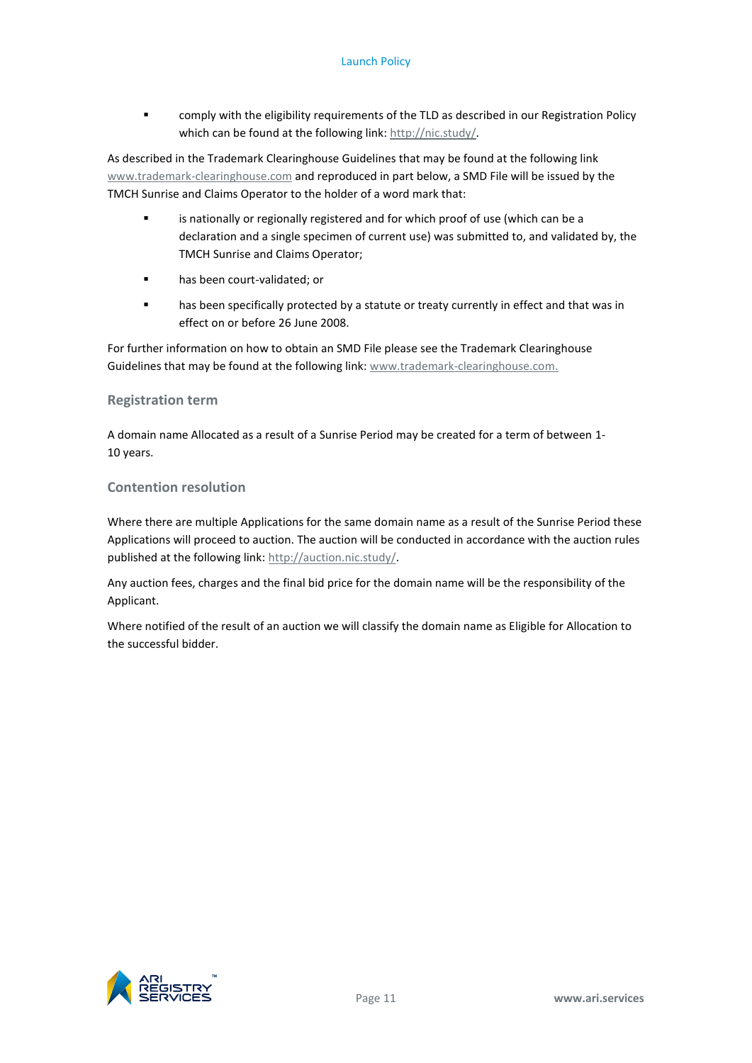comply with the eligibility requirements of the TLD as described in our Registration Policy which can be found at the following link: [http://nic.study/.](http://nic.study/)

As described in the Trademark Clearinghouse Guidelines that may be found at the following link [www.trademark-clearinghouse.com](http://www.trademark-clearinghouse.com/) and reproduced in part below, a SMD File will be issued by the TMCH Sunrise and Claims Operator to the holder of a word mark that:

- is nationally or regionally registered and for which proof of use (which can be a declaration and a single specimen of current use) was submitted to, and validated by, the TMCH Sunrise and Claims Operator;
- **nas been court-validated; or**
- has been specifically protected by a statute or treaty currently in effect and that was in effect on or before 26 June 2008.

For further information on how to obtain an SMD File please see the Trademark Clearinghouse Guidelines that may be found at the following link: [www.trademark-clearinghouse.com.](http://www.trademark-clearinghouse.com/)

#### **Registration term**

A domain name Allocated as a result of a Sunrise Period may be created for a term of between 1- 10 years.

#### **Contention resolution**

Where there are multiple Applications for the same domain name as a result of the Sunrise Period these Applications will proceed to auction. The auction will be conducted in accordance with the auction rules published at the following link[: http://auction.nic.study/.](http://auction.nic.study/)

Any auction fees, charges and the final bid price for the domain name will be the responsibility of the Applicant.

Where notified of the result of an auction we will classify the domain name as Eligible for Allocation to the successful bidder.

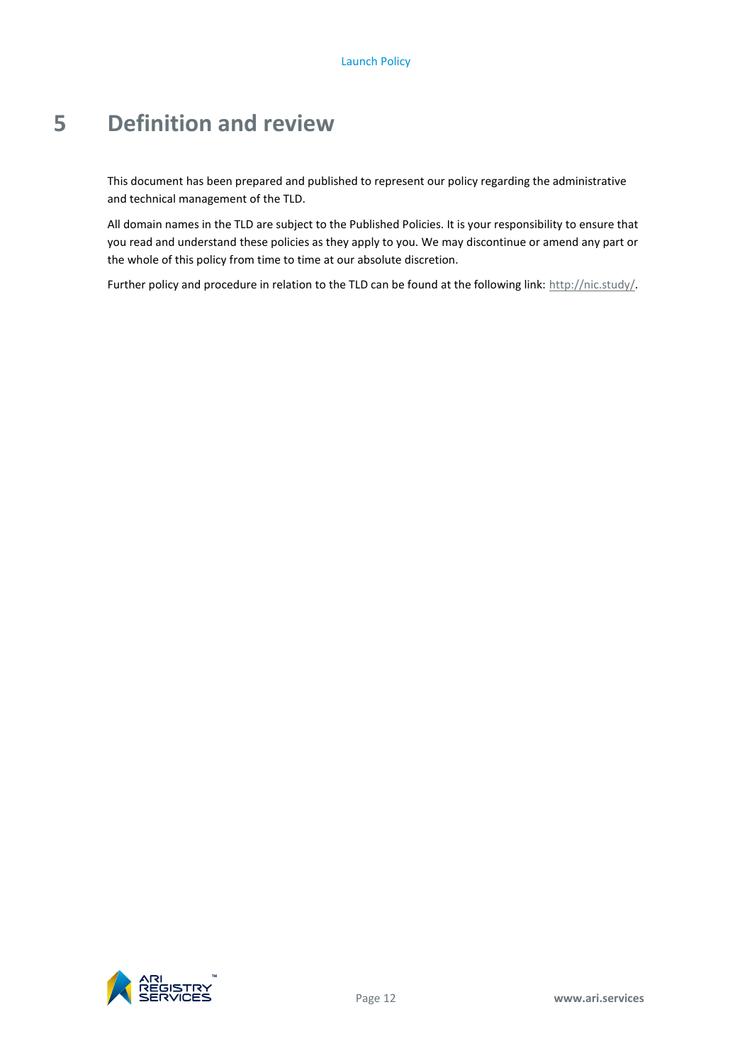# <span id="page-15-0"></span>**5 Definition and review**

This document has been prepared and published to represent our policy regarding the administrative and technical management of the TLD.

All domain names in the TLD are subject to the Published Policies. It is your responsibility to ensure that you read and understand these policies as they apply to you. We may discontinue or amend any part or the whole of this policy from time to time at our absolute discretion.

Further policy and procedure in relation to the TLD can be found at the following link[: http://nic.study/.](http://nic.study/)

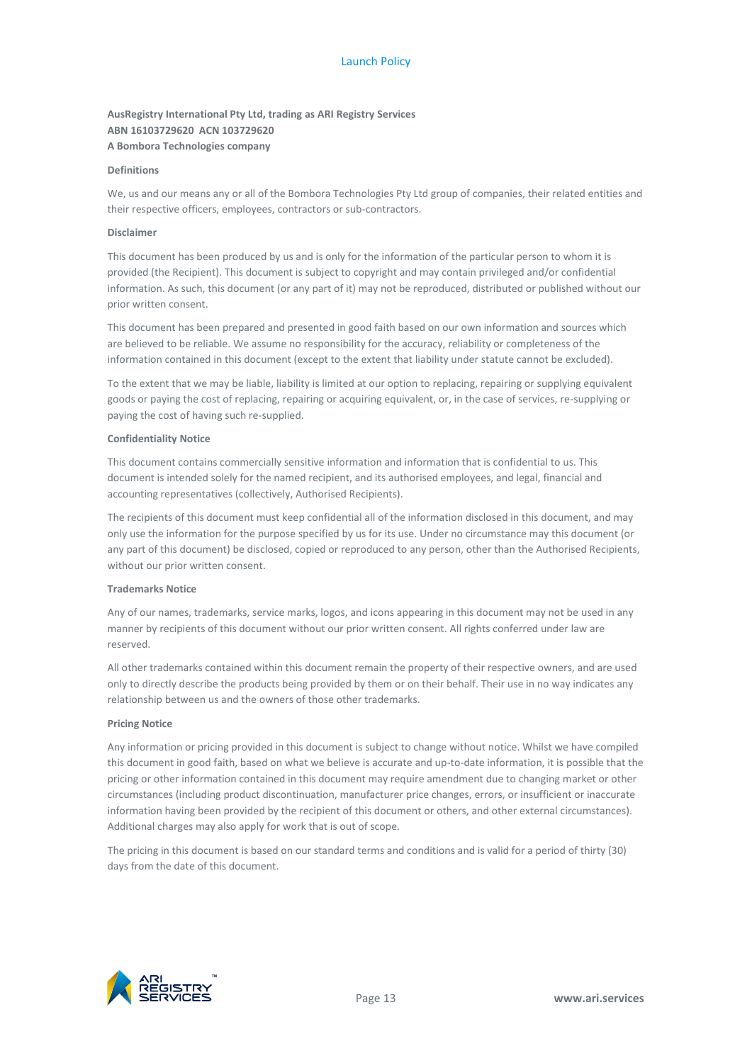#### **AusRegistry International Pty Ltd, trading as ARI Registry Services ABN 16103729620 ACN 103729620 A Bombora Technologies company**

#### **Definitions**

We, us and our means any or all of the Bombora Technologies Pty Ltd group of companies, their related entities and their respective officers, employees, contractors or sub-contractors.

#### **Disclaimer**

This document has been produced by us and is only for the information of the particular person to whom it is provided (the Recipient). This document is subject to copyright and may contain privileged and/or confidential information. As such, this document (or any part of it) may not be reproduced, distributed or published without our prior written consent.

This document has been prepared and presented in good faith based on our own information and sources which are believed to be reliable. We assume no responsibility for the accuracy, reliability or completeness of the information contained in this document (except to the extent that liability under statute cannot be excluded).

To the extent that we may be liable, liability is limited at our option to replacing, repairing or supplying equivalent goods or paying the cost of replacing, repairing or acquiring equivalent, or, in the case of services, re-supplying or paying the cost of having such re-supplied.

#### **Confidentiality Notice**

This document contains commercially sensitive information and information that is confidential to us. This document is intended solely for the named recipient, and its authorised employees, and legal, financial and accounting representatives (collectively, Authorised Recipients).

The recipients of this document must keep confidential all of the information disclosed in this document, and may only use the information for the purpose specified by us for its use. Under no circumstance may this document (or any part of this document) be disclosed, copied or reproduced to any person, other than the Authorised Recipients, without our prior written consent.

#### **Trademarks Notice**

Any of our names, trademarks, service marks, logos, and icons appearing in this document may not be used in any manner by recipients of this document without our prior written consent. All rights conferred under law are reserved.

All other trademarks contained within this document remain the property of their respective owners, and are used only to directly describe the products being provided by them or on their behalf. Their use in no way indicates any relationship between us and the owners of those other trademarks.

#### **Pricing Notice**

Any information or pricing provided in this document is subject to change without notice. Whilst we have compiled this document in good faith, based on what we believe is accurate and up-to-date information, it is possible that the pricing or other information contained in this document may require amendment due to changing market or other circumstances (including product discontinuation, manufacturer price changes, errors, or insufficient or inaccurate information having been provided by the recipient of this document or others, and other external circumstances). Additional charges may also apply for work that is out of scope.

The pricing in this document is based on our standard terms and conditions and is valid for a period of thirty (30) days from the date of this document.